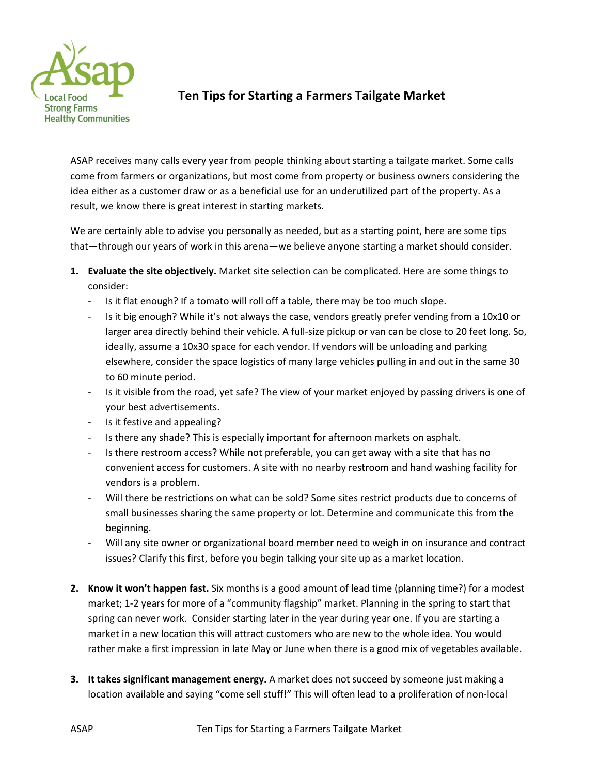

# **Ten Tips for Starting a Farmers Tailgate Market**

ASAP receives many calls every year from people thinking about starting a tailgate market. Some calls come from farmers or organizations, but most come from property or business owners considering the idea either as a customer draw or as a beneficial use for an underutilized part of the property. As a result, we know there is great interest in starting markets.

We are certainly able to advise you personally as needed, but as a starting point, here are some tips that—through our years of work in this arena—we believe anyone starting a market should consider.

- **1. Evaluate the site objectively.** Market site selection can be complicated. Here are some things to consider:
	- Is it flat enough? If a tomato will roll off a table, there may be too much slope.
	- Is it big enough? While it's not always the case, vendors greatly prefer vending from a 10x10 or larger area directly behind their vehicle. A full‐size pickup or van can be close to 20 feet long. So, ideally, assume a 10x30 space for each vendor. If vendors will be unloading and parking elsewhere, consider the space logistics of many large vehicles pulling in and out in the same 30 to 60 minute period.
	- Is it visible from the road, yet safe? The view of your market enjoyed by passing drivers is one of your best advertisements.
	- ‐ Is it festive and appealing?
	- Is there any shade? This is especially important for afternoon markets on asphalt.
	- ‐ Is there restroom access? While not preferable, you can get away with a site that has no convenient access for customers. A site with no nearby restroom and hand washing facility for vendors is a problem.
	- Will there be restrictions on what can be sold? Some sites restrict products due to concerns of small businesses sharing the same property or lot. Determine and communicate this from the beginning.
	- Will any site owner or organizational board member need to weigh in on insurance and contract issues? Clarify this first, before you begin talking your site up as a market location.
- **2. Know it won't happen fast.** Six months is a good amount of lead time (planning time?) for a modest market; 1‐2 years for more of a "community flagship" market. Planning in the spring to start that spring can never work. Consider starting later in the year during year one. If you are starting a market in a new location this will attract customers who are new to the whole idea. You would rather make a first impression in late May or June when there is a good mix of vegetables available.
- **3. It takes significant management energy.** A market does not succeed by someone just making a location available and saying "come sell stuff!" This will often lead to a proliferation of non‐local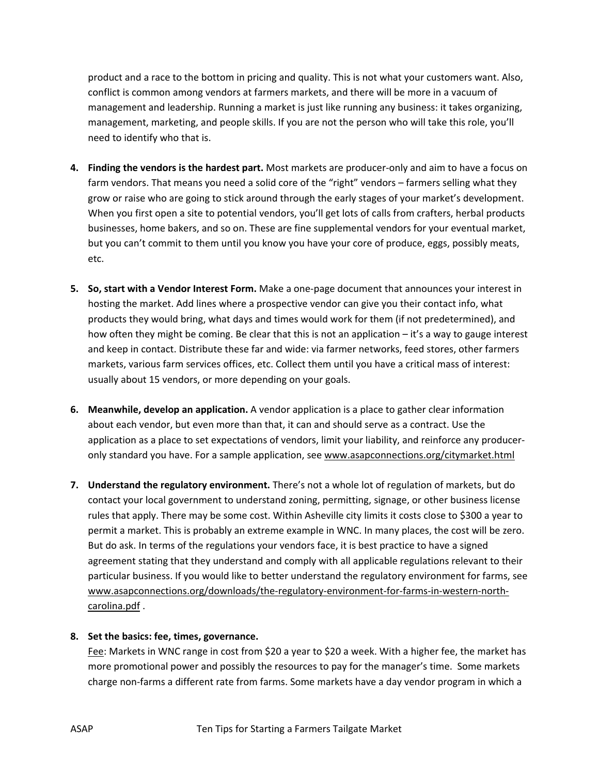product and a race to the bottom in pricing and quality. This is not what your customers want. Also, conflict is common among vendors at farmers markets, and there will be more in a vacuum of management and leadership. Running a market is just like running any business: it takes organizing, management, marketing, and people skills. If you are not the person who will take this role, you'll need to identify who that is.

- **4. Finding the vendors is the hardest part.** Most markets are producer‐only and aim to have a focus on farm vendors. That means you need a solid core of the "right" vendors – farmers selling what they grow or raise who are going to stick around through the early stages of your market's development. When you first open a site to potential vendors, you'll get lots of calls from crafters, herbal products businesses, home bakers, and so on. These are fine supplemental vendors for your eventual market, but you can't commit to them until you know you have your core of produce, eggs, possibly meats, etc.
- **5. So, start with a Vendor Interest Form.** Make a one‐page document that announces your interest in hosting the market. Add lines where a prospective vendor can give you their contact info, what products they would bring, what days and times would work for them (if not predetermined), and how often they might be coming. Be clear that this is not an application – it's a way to gauge interest and keep in contact. Distribute these far and wide: via farmer networks, feed stores, other farmers markets, various farm services offices, etc. Collect them until you have a critical mass of interest: usually about 15 vendors, or more depending on your goals.
- **6. Meanwhile, develop an application.** A vendor application is a place to gather clear information about each vendor, but even more than that, it can and should serve as a contract. Use the application as a place to set expectations of vendors, limit your liability, and reinforce any producer‐ only standard you have. For a sample application, see www.asapconnections.org/citymarket.html
- **7. Understand the regulatory environment.** There's not a whole lot of regulation of markets, but do contact your local government to understand zoning, permitting, signage, or other business license rules that apply. There may be some cost. Within Asheville city limits it costs close to \$300 a year to permit a market. This is probably an extreme example in WNC. In many places, the cost will be zero. But do ask. In terms of the regulations your vendors face, it is best practice to have a signed agreement stating that they understand and comply with all applicable regulations relevant to their particular business. If you would like to better understand the regulatory environment for farms, see www.asapconnections.org/downloads/the-regulatory-environment-for-farms-in-western-northcarolina.pdf .

### **8. Set the basics: fee, times, governance.**

Fee: Markets in WNC range in cost from \$20 a year to \$20 a week. With a higher fee, the market has more promotional power and possibly the resources to pay for the manager's time. Some markets charge non‐farms a different rate from farms. Some markets have a day vendor program in which a